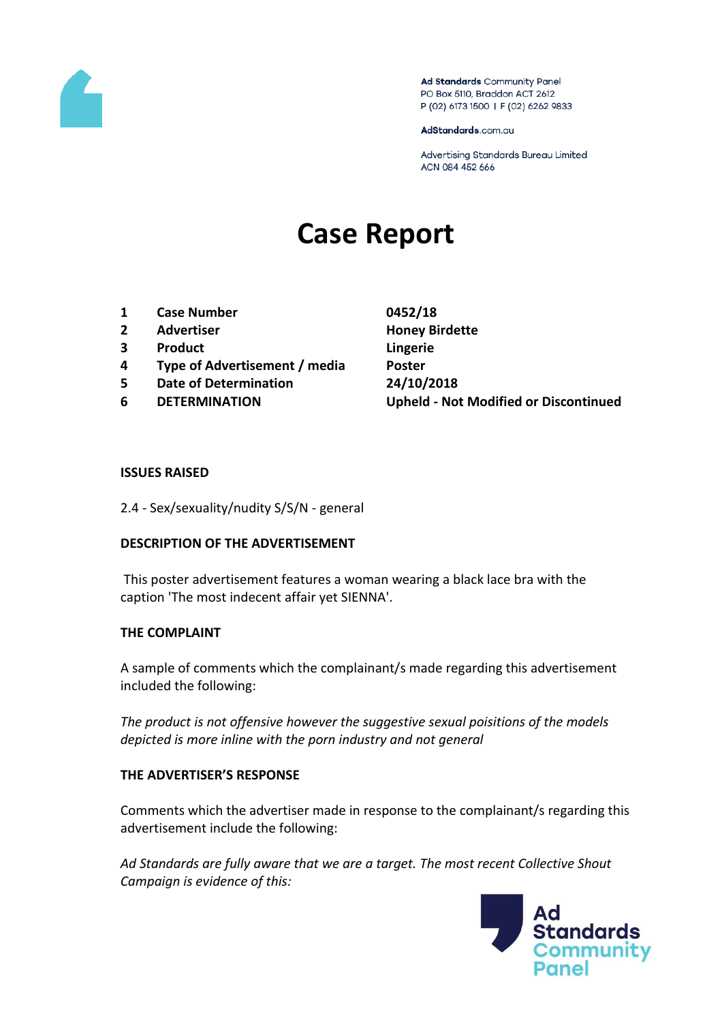

Ad Standards Community Panel PO Box 5110, Braddon ACT 2612 P (02) 6173 1500 | F (02) 6262 9833

AdStandards.com.au

Advertising Standards Bureau Limited ACN 084 452 666

# **Case Report**

- **1 Case Number 0452/18**
- **2 Advertiser Honey Birdette**
- **3 Product Lingerie**
- **4 Type of Advertisement / media Poster**
- **5 Date of Determination 24/10/2018**
- 

**6 DETERMINATION Upheld - Not Modified or Discontinued**

#### **ISSUES RAISED**

2.4 - Sex/sexuality/nudity S/S/N - general

### **DESCRIPTION OF THE ADVERTISEMENT**

This poster advertisement features a woman wearing a black lace bra with the caption 'The most indecent affair yet SIENNA'.

### **THE COMPLAINT**

A sample of comments which the complainant/s made regarding this advertisement included the following:

*The product is not offensive however the suggestive sexual poisitions of the models depicted is more inline with the porn industry and not general* 

### **THE ADVERTISER'S RESPONSE**

Comments which the advertiser made in response to the complainant/s regarding this advertisement include the following:

*Ad Standards are fully aware that we are a target. The most recent Collective Shout Campaign is evidence of this:* 

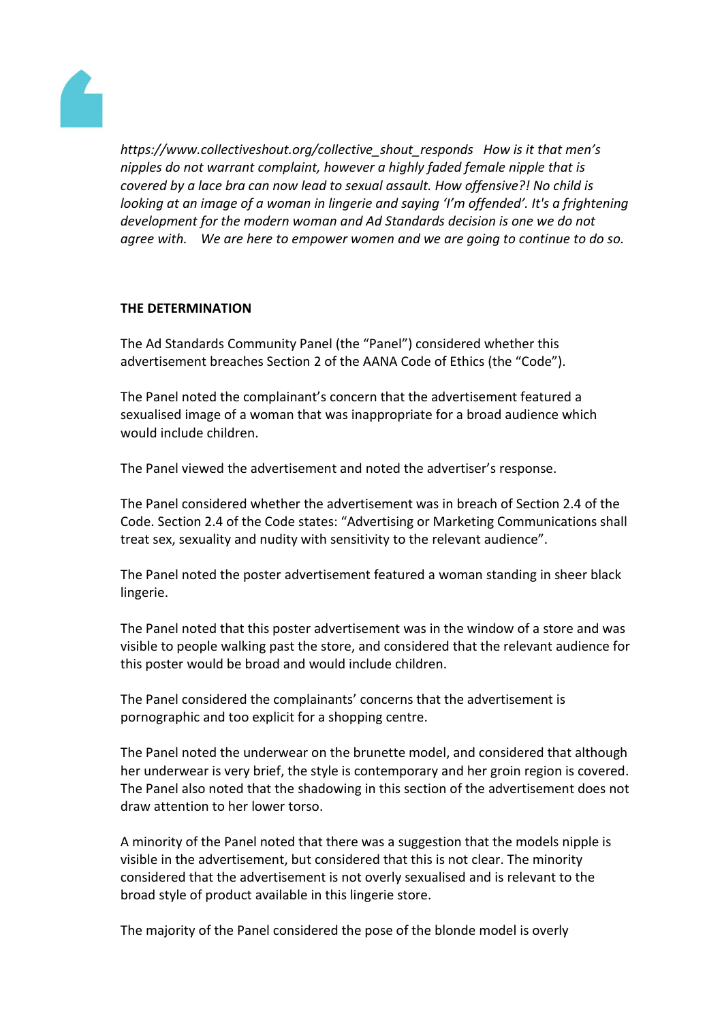

*https://www.collectiveshout.org/collective\_shout\_responds How is it that men's nipples do not warrant complaint, however a highly faded female nipple that is covered by a lace bra can now lead to sexual assault. How offensive?! No child is looking at an image of a woman in lingerie and saying 'I'm offended'. It's a frightening development for the modern woman and Ad Standards decision is one we do not agree with. We are here to empower women and we are going to continue to do so.* 

# **THE DETERMINATION**

The Ad Standards Community Panel (the "Panel") considered whether this advertisement breaches Section 2 of the AANA Code of Ethics (the "Code").

The Panel noted the complainant's concern that the advertisement featured a sexualised image of a woman that was inappropriate for a broad audience which would include children.

The Panel viewed the advertisement and noted the advertiser's response.

The Panel considered whether the advertisement was in breach of Section 2.4 of the Code. Section 2.4 of the Code states: "Advertising or Marketing Communications shall treat sex, sexuality and nudity with sensitivity to the relevant audience".

The Panel noted the poster advertisement featured a woman standing in sheer black lingerie.

The Panel noted that this poster advertisement was in the window of a store and was visible to people walking past the store, and considered that the relevant audience for this poster would be broad and would include children.

The Panel considered the complainants' concerns that the advertisement is pornographic and too explicit for a shopping centre.

The Panel noted the underwear on the brunette model, and considered that although her underwear is very brief, the style is contemporary and her groin region is covered. The Panel also noted that the shadowing in this section of the advertisement does not draw attention to her lower torso.

A minority of the Panel noted that there was a suggestion that the models nipple is visible in the advertisement, but considered that this is not clear. The minority considered that the advertisement is not overly sexualised and is relevant to the broad style of product available in this lingerie store.

The majority of the Panel considered the pose of the blonde model is overly